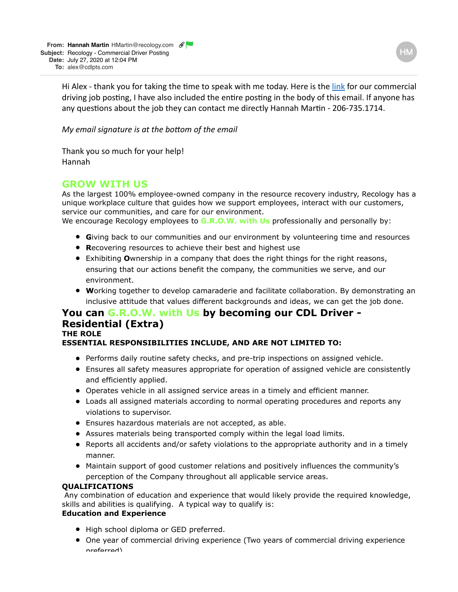Hi Alex - thank you for taking the time to speak with me today. Here is the link for our commercial driving job posting, I have also included the entire posting in the body of this email. If anyone has any questions about the job they can contact me directly Hannah Martin - 206-735.1714.

*My email signature is at the bottom of the email* 

Thank you so much for your help! Hannah

# **GROW WITH US**

As the largest 100% employee-owned company in the resource recovery industry, Recology has a unique workplace culture that guides how we support employees, interact with our customers, service our communities, and care for our environment.

We encourage Recology employees to **G.R.O.W. with Us** professionally and personally by:

- **G**iving back to our communities and our environment by volunteering time and resources
- **R**ecovering resources to achieve their best and highest use
- Exhibiting **O**wnership in a company that does the right things for the right reasons, ensuring that our actions benefit the company, the communities we serve, and our environment.
- **W**orking together to develop camaraderie and facilitate collaboration. By demonstrating an inclusive attitude that values different backgrounds and ideas, we can get the job done.

# **You can G.R.O.W. with Us by becoming our CDL Driver -**

#### **Residential (Extra) THE ROLE**

# **ESSENTIAL RESPONSIBILITIES INCLUDE, AND ARE NOT LIMITED TO:**

- Performs daily routine safety checks, and pre-trip inspections on assigned vehicle.
- Ensures all safety measures appropriate for operation of assigned vehicle are consistently and efficiently applied.
- Operates vehicle in all assigned service areas in a timely and efficient manner.
- Loads all assigned materials according to normal operating procedures and reports any violations to supervisor.
- Ensures hazardous materials are not accepted, as able.
- Assures materials being transported comply within the legal load limits.
- Reports all accidents and/or safety violations to the appropriate authority and in a timely manner.
- Maintain support of good customer relations and positively influences the community's perception of the Company throughout all applicable service areas.

#### **QUALIFICATIONS**

Any combination of education and experience that would likely provide the required knowledge, skills and abilities is qualifying. A typical way to qualify is:

### **Education and Experience**

- $\bullet$  High school diploma or GED preferred.
- One year of commercial driving experience (Two years of commercial driving experience preferred).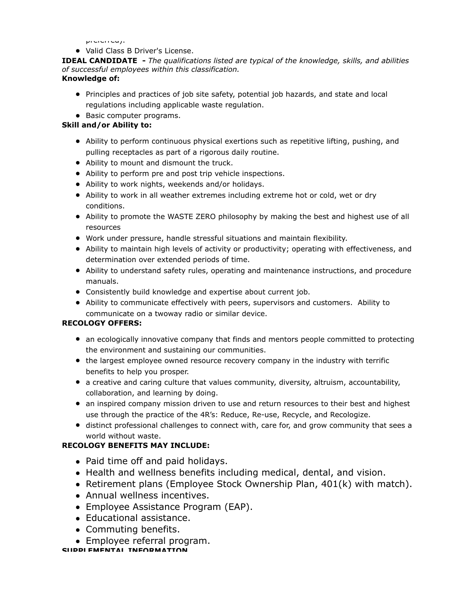```
p_1crencup_1
```
• Valid Class B Driver's License.

**IDEAL CANDIDATE -** *The qualifications listed are typical of the knowledge, skills, and abilities of successful employees within this classification.*

**Knowledge of:**

- Principles and practices of job site safety, potential job hazards, and state and local regulations including applicable waste regulation.
- Basic computer programs.

# **Skill and/or Ability to:**

- Ability to perform continuous physical exertions such as repetitive lifting, pushing, and pulling receptacles as part of a rigorous daily routine.
- Ability to mount and dismount the truck.
- Ability to perform pre and post trip vehicle inspections.
- Ability to work nights, weekends and/or holidays.
- Ability to work in all weather extremes including extreme hot or cold, wet or dry conditions.
- Ability to promote the WASTE ZERO philosophy by making the best and highest use of all resources
- Work under pressure, handle stressful situations and maintain flexibility.
- Ability to maintain high levels of activity or productivity; operating with effectiveness, and determination over extended periods of time.
- Ability to understand safety rules, operating and maintenance instructions, and procedure manuals.
- Consistently build knowledge and expertise about current job.
- Ability to communicate effectively with peers, supervisors and customers. Ability to communicate on a twoway radio or similar device.

# **RECOLOGY OFFERS:**

- an ecologically innovative company that finds and mentors people committed to protecting the environment and sustaining our communities.
- the largest employee owned resource recovery company in the industry with terrific benefits to help you prosper.
- a creative and caring culture that values community, diversity, altruism, accountability, collaboration, and learning by doing.
- an inspired company mission driven to use and return resources to their best and highest use through the practice of the 4R's: Reduce, Re-use, Recycle, and Recologize.
- distinct professional challenges to connect with, care for, and grow community that sees a world without waste.

# **RECOLOGY BENEFITS MAY INCLUDE:**

- Paid time off and paid holidays.
- Health and wellness benefits including medical, dental, and vision.
- Retirement plans (Employee Stock Ownership Plan, 401(k) with match).
- Annual wellness incentives.
- Employee Assistance Program (EAP).
- Educational assistance.
- Commuting benefits.
- Employee referral program.

**SUPPLEMENTAL INFORMATION**